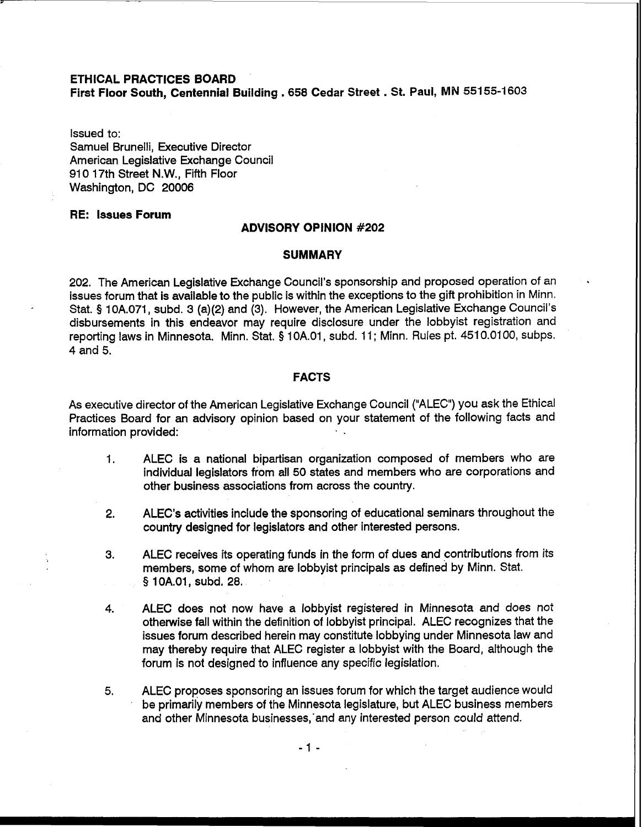# **ETHICAL PRACTICES BOARD First Floor South, Centennial Building** . **658 Cedar Street** . **St. Paul, MN** 55155-1603

Issued to: Samuel Brunelli, Executive Director American Legislative Exchange Council 910 17th Street N.W., Fifth Floor Washington, DC 20006

### **RE: Issues Forum**

## **ADVISORY OPINION #202**

### **SUMMARY**

202. The American Legislative Exchange Council's sponsorship and proposed operation of an issues forum that is available to the public is within the exceptions to the gift prohibition in Minn. Stat. § 10A.071, subd. 3 (a)(2) and (3). However, the American Legislative Exchange Council's disbursements in this endeavor may require disclosure under the lobbyist registration and reporting laws in Minnesota. Minn. Stat. **9** 1 0A.01, subd. 11 ; Minn. Rules pt. 451 0.01 00, subps. 4 and 5.

## **FACTS**

As executive director of the American Legislative Exchange Council ("ALEC") you ask the Ethical Practices Board for an advisory opinion based on your statement of the following facts and information provided:

- 1. ALEC is a national bipartisan organization composed of members who are individual legislators from all 50 states and members who are corporations and other business associations from across the country.
- 2. ALEC's activities include the sponsoring of educational seminars throughout the country designed for legislators and other interested persons.
- 3. ALEC receives its operating funds in the form of dues and contributions from its members, some of whom are lobbyist principals as defined by Minn. Stat. § 10A.01, subd. 28.
- **4.** ALEC does not now have a lobbyist registered in Minnesota and does not otherwise fall within the definition of lobbyist principal. ALEC recognizes that the issues forum described herein may constitute lobbying under Minnesota law and may thereby require that ALEC register a lobbyist with the Board, although the forum is not designed to influence any specific legislation.
- **5.** ALEC proposes sponsoring an issues forum for which the target audience would be primarily members of the Minnesota legislature, but ALEC business members and other Minnesota businesses,'and any interested person could attend.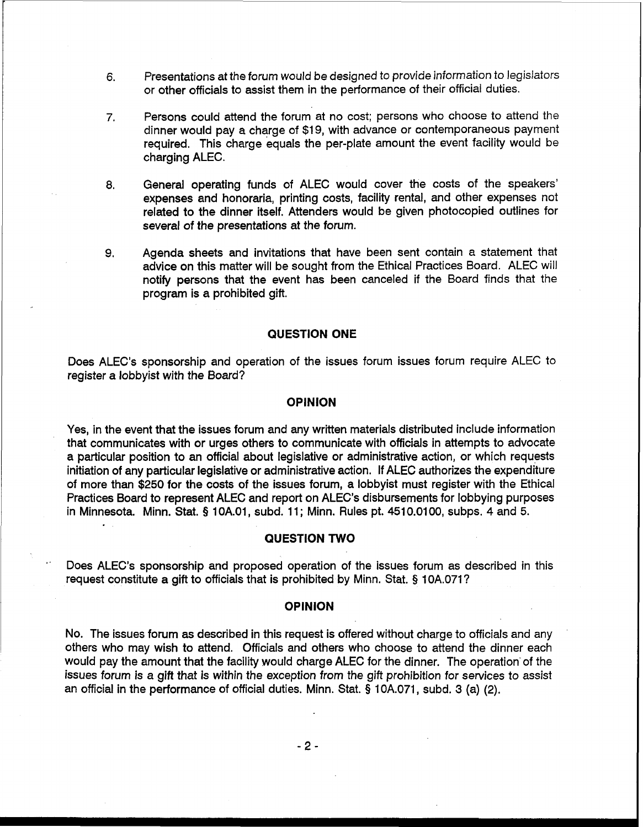- **6.** Presentations at the forum would be designed to provide information to legislators or other officials to assist them in the performance of their official duties.
- **7.** Persons could attend the forum at no cost; persons who choose to attend the dinner would pay a charge of \$19, with advance or contemporaneous payment required. This charge equals the per-plate amount the event facility would be charging ALEC.
- **8.** General operating funds of ALEC would cover the costs of the speakers' expenses and honoraria, printing costs, facility rental, and other expenses not related to the dinner itself. Attenders would be given photocopied outlines for several of the presentations at the forum.
- 9. Agenda sheets and invitations that have been sent contain a statement that advice on this matter will be sought from the Ethical Practices Board. ALEC will notify persons that the event has been canceled if the Board finds that the program is a prohibited gift.

## **QUESTION ONE**

Does ALEC's sponsorship and operation of the issues forum issues forum require ALEC to register a lobbyist with the Board?

### **OPINION**

Yes, in the event that the issues forum and any written materials distributed include information that communicates with or urges others to communicate with officials in attempts to advocate a particular position to an official about legislative or administrative action, or which requests initiation of any particular legislative or administrative action. If ALEC authorizes the expenditure of more than \$250 for the costs of the issues forum, a lobbyist must register with the Ethical Practices Board to represent ALEC and report on ALEC's disbursements for lobbying purposes in Minnesota. Minn. Stat. § 1 0A.01, subd. 11 ; Minn. Rules pt. 451 0.01 00, subps. 4 and 5.

#### **QUESTION TWO**

Does ALEC's sponsorship and proposed operation of the issues forum as described in this request constitute a gift to officials that is prohibited by Minn. Stat. **9** 10A.071?

#### **OPINION**

No. The issues forum as described in this request is offered without charge to officials and any others who may wish to attend. Officials and others who choose to attend the dinner each would pay the amount that the facility would charge ALEC for the dinner. The operation of the issues forum is a gift that is within the exception from the gift prohibition for services to assist an official in the performance of official duties. Minn. Stat. § 10A.071, subd. 3 (a) (2).

 $-2-$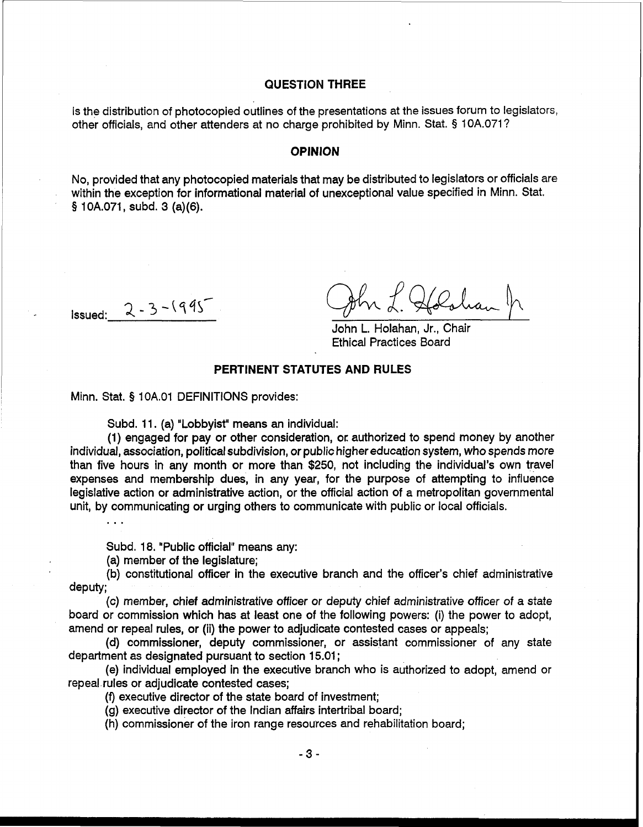## **QUESTION THREE**

Is the distribution of photocopied outlines of the presentations at the issues forum to legislators, other officials, and other attenders at no charge prohibited by Minn. Stat. § 10A.071?

### **OPINION**

No, provided that any photocopied materials that may be distributed to legislators or officials are within the exception for informational material of unexceptional value specified in Minn. Stat. **5** 1 OA.071, subd. 3 (a)(6).

 $I$ ssued:  $2 - 3 - (945)$ 

 $\mathbb{R}^2$ 

John L. Holahan, Jr., Chair Ethical Practices Board

# **PERTINENT STATUTES AND RULES**

Minn. Stat. **5** 1 OA.O1 DEFINITIONS provides:

Subd. 11. (a) "Lobbyist" means an individual:

(1) engaged for pay or other consideration, or: authorized to spend money by another individual, association, political subdivision, or public higher education system, who spends more than five hours in any month or more than \$250, not including the individual's own travel expenses and membership dues, in any year, for the purpose of attempting to influence legislative action or administrative action, or the official action of a metropolitan governmental unit, by communicating or urging others to communicate with public or local officials.

Subd. 18. "Public official" means any:

(a) member of the legislature;

(b) constitutional officer in the executive branch and the officer's chief administrative deputy;

(c) member, chief administrative officer or deputy chief administrative officer of a state board or commission which has at least one of the following powers: (i) the power to adopt, amend or repeal rules, or (ii) the power to adjudicate contested cases or appeals;

(d) commissioner, deputy commissioner, or assistant commissioner of any state department as designated pursuant to section 15.01 ;

(e) individual employed in the executive branch who is authorized to adopt, amend or repeal rules or adjudicate contested cases;

(f) executive director of the state board of investment;

(g) executive director of the Indian affairs intertribal board;

(h) commissioner of the iron range resources and rehabilitation board;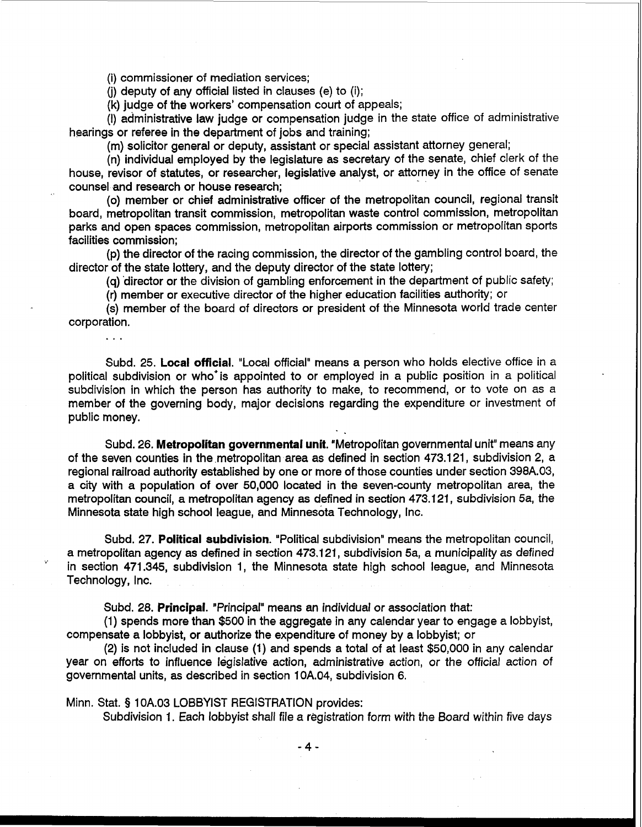(i) commissioner of mediation services;

**(j)** deputy of any official listed in clauses (e) to (i);

(k) judge of the workers' compensation court of appeals;

(I) administrative law judge or compensation judge in the state office of administrative hearings or referee in the department of jobs and training;

(m) solicitor general or deputy, assistant or special assistant attorney general;

(n) individual employed by the legislature as secretary of the senate, chief clerk of the house, revisor of statutes, or researcher, legislative analyst, or attorney in the office of senate counsel and research or house research;

(0) member or chief administrative officer of the metropolitan council, regional transit board, metropolitan transit commission, metropolitan waste control commission, metropolitan parks and open spaces commission, metropolitan airports commission or metropolitan sports facilities commission;

(p) the director of the racing commission, the director of the gambling control board, the director of the state lottery, and the deputy director of the state lottery;

(q) director or the division of gambling enforcement in the department of public safety;

(r) member or executive director of the higher education facilities authority; or

(s) member of the board of directors or president of the Minnesota world trade center corporation.

 $\mathbf{1}$ 

Subd. 25. **Local official.** "Local official" means a person who holds elective office in a political subdivision or who' is appointed to or employed in a public position in a political subdivision in which the person has authority to make, to recommend, or to vote on as a member of the governing body, major decisions regarding the expenditure or investment of public money.

Subd. 26. **Metropolitan governmental unit.** "Metropolitan governmental unit" means any of the seven counties in the.metropolitan area as defined in section 473.121, subdivision 2, a regional railroad authority established by one or more of those counties under section 398A.03, a city with a population of over 50,000 located in the seven-county metropolitan area, the metropolitan council, a metropolitan agency as defined in section 473.121, subdivision 5a, the Minnesota state high school league, and Minnesota Technology, Inc.

Subd. 27. **Political subdivision.** "Political subdivision" means the metropolitan council, a metropolitan agency as defined in section 473.121, subdivision 5a, a municipality as defined in section 471.345, subdivision 1, the Minnesota state high school league, and Minnesota Technology, Inc.

Subd. 28. **Principal.** "Principal" means an individual or association that:

(1) spends more than \$500 in the aggregate in any calendar year to engage a lobbyist, compensate a lobbyist, or authorize the expenditure of money by a lobbyist; or

(2) is not included in clause (1) and spends a total of at least \$50,000 in any calendar year on efforts to influence legislative action, administrative action, or the official action of governmental units, as described in section 10A.04, subdivision 6.

## Minn. Stat. § 10A.03 LOBBYIST REGISTRATION provides:

Subdivision 1. Each lobbyist shall file a registration form with the Board within five days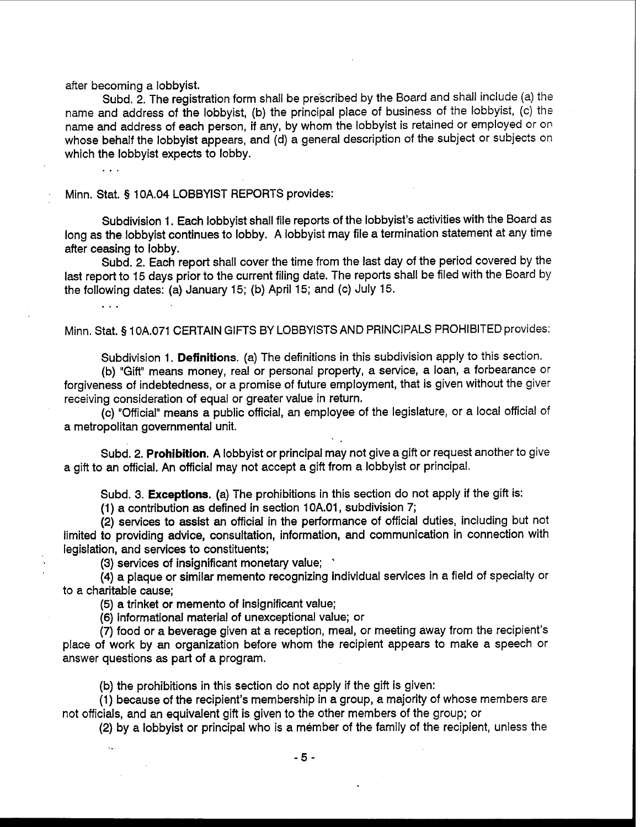after becoming a lobbyist.

 $\mathbb{R}^2$ 

Subd. 2. The registration form shall be prescribed by the Board and shall include (a) the name and address of the lobbyist, (b) the principal place of business of the lobbyist, (c) the name and address of each person, if any, by whom the lobbyist is retained or employed or on whose behalf the lobbyist appears, and (d) a general description of the subject or subjects on which the lobbyist expects to lobby.

Minn. Stat. § 10A.04 LOBBYIST REPORTS provides:

Subdivision 1. Each lobbyist shall file reports of the lobbyist's activities with the Board as long as the lobbyist continues to lobby. A lobbyist may file a termination statement at any time after ceasing to lobby.

Subd. 2. Each report shall cover the time from the last day of the period covered by the last report to 15 days prior to the current filing date. The reports shall be filed with the Board by the following dates: (a) January 15; (b) April 15; and (c) July 15.

Minn. Stat. § 10A.071 CERTAIN GIFTS BY LOBBYISTS AND PRINCIPALS PROHIBITED provides:

Subdivision 1. **Definitions.** (a) The definitions in this subdivision apply to this section.

(b) "Gift" means money, real or personal property, a service, a loan, a forbearance or forgiveness of indebtedness, or a promise of future employment, that is given without the giver receiving consideration of equal or greater value in return.

(c) "Official" means a public official, an employee of the legislature, or a local official of a metropolitan governmental unit.

Subd. 2. **Prohibition.** A lobbyist or principal may not give a gift or request another to give a gift to an official. An official may not accept a gift from a lobbyist or principal.

Subd. 3. **Exceptions.** (a) The prohibitions in this section do not apply if the gift is:

(1) a contribution as defined in section 1 0A.01, subdivision 7;

(2) services to assist an official in the performance of official duties, including but not limited to providing advice, consultation, information, and communication in connection with legislation, and services to constituents;

(3) services of insignificant monetary value; '

**(4)** a plaque or similar memento recognizing individual services in a field of specialty or to a charitable cause;

(5) a trinket or memento of insignificant value;

**(6)** informational material of unexceptional value; or

**(7)** food or a beverage given at a reception, meal, or meeting away from the recipient's place of work by an organization before whom the recipient appears to make a speech or answer questions as part of a program.

(b) the prohibitions in this section do not apply if the gift is given:

(1) because of the recipient's membership in a group, a majority of whose members are not officials, and an equivalent gift is given to the other members of the group; or

(2) by a lobbyist or principal who is a member of the family of the recipient, unless the